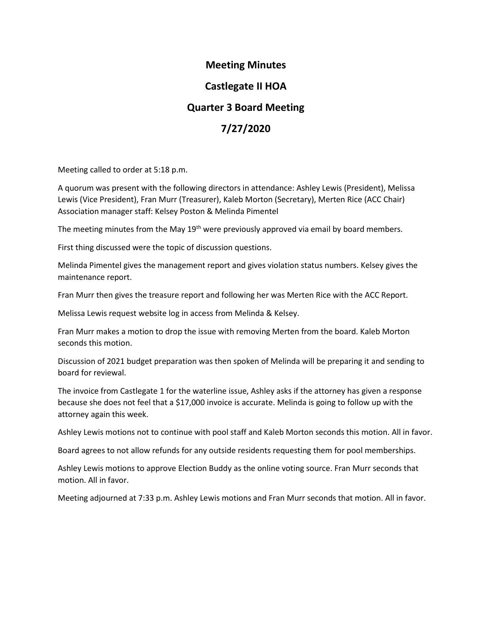# **Meeting Minutes**

# **Castlegate II HOA**

## **Quarter 3 Board Meeting**

# **7/27/2020**

Meeting called to order at 5:18 p.m.

A quorum was present with the following directors in attendance: Ashley Lewis (President), Melissa Lewis (Vice President), Fran Murr (Treasurer), Kaleb Morton (Secretary), Merten Rice (ACC Chair) Association manager staff: Kelsey Poston & Melinda Pimentel

The meeting minutes from the May 19<sup>th</sup> were previously approved via email by board members.

First thing discussed were the topic of discussion questions.

Melinda Pimentel gives the management report and gives violation status numbers. Kelsey gives the maintenance report.

Fran Murr then gives the treasure report and following her was Merten Rice with the ACC Report.

Melissa Lewis request website log in access from Melinda & Kelsey.

Fran Murr makes a motion to drop the issue with removing Merten from the board. Kaleb Morton seconds this motion.

Discussion of 2021 budget preparation was then spoken of Melinda will be preparing it and sending to board for reviewal.

The invoice from Castlegate 1 for the waterline issue, Ashley asks if the attorney has given a response because she does not feel that a \$17,000 invoice is accurate. Melinda is going to follow up with the attorney again this week.

Ashley Lewis motions not to continue with pool staff and Kaleb Morton seconds this motion. All in favor.

Board agrees to not allow refunds for any outside residents requesting them for pool memberships.

Ashley Lewis motions to approve Election Buddy as the online voting source. Fran Murr seconds that motion. All in favor.

Meeting adjourned at 7:33 p.m. Ashley Lewis motions and Fran Murr seconds that motion. All in favor.